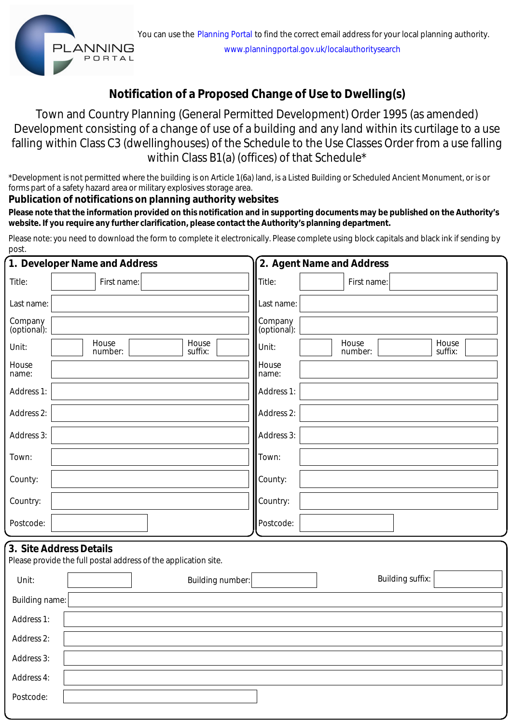## **Notification of a Proposed Change of Use to Dwelling(s)**

Town and Country Planning (General Permitted Development) Order 1995 (as amended) Development consisting of a change of use of a building and any land within its curtilage to a use falling within Class C3 (dwellinghouses) of the Schedule to the Use Classes Order from a use falling within Class B1(a) (offices) of that Schedule\*

\*Development is not permitted where the building is on Article 1(6a) land, is a Listed Building or Scheduled Ancient Monument, or is or forms part of a safety hazard area or military explosives storage area.

### **Publication of notifications on planning authority websites**

 **Please note that the information provided on this notification and in supporting documents may be published on the Authority's website. If you require any further clarification, please contact the Authority's planning department.**

Please note: you need to download the form to complete it electronically. Please complete using block capitals and black ink if sending by post.

|                        | 1. Developer Name and Address                                                              |                  |                        | 2. Agent Name and Address |                  |
|------------------------|--------------------------------------------------------------------------------------------|------------------|------------------------|---------------------------|------------------|
| Title:                 | First name:                                                                                |                  | Title:                 | First name:               |                  |
| Last name:             |                                                                                            |                  | Last name:             |                           |                  |
| Company<br>(optional): |                                                                                            |                  | Company<br>(optional): |                           |                  |
| Unit:                  | House<br>number:                                                                           | House<br>suffix: | Unit:                  | House<br>number:          | House<br>suffix: |
| House<br>name:         |                                                                                            |                  | House<br>name:         |                           |                  |
| Address 1:             |                                                                                            |                  | Address 1:             |                           |                  |
| Address 2:             |                                                                                            |                  | Address 2:             |                           |                  |
| Address 3:             |                                                                                            |                  | Address 3:             |                           |                  |
| Town:                  |                                                                                            |                  | Town:                  |                           |                  |
| County:                |                                                                                            |                  | County:                |                           |                  |
| Country:               |                                                                                            |                  | Country:               |                           |                  |
| Postcode:              |                                                                                            |                  | Postcode:              |                           |                  |
|                        | 3. Site Address Details<br>Please provide the full postal address of the application site. |                  |                        |                           |                  |
| Unit:                  | Building number:                                                                           |                  |                        | <b>Building suffix:</b>   |                  |
| Building name:         |                                                                                            |                  |                        |                           |                  |
| Address 1:             |                                                                                            |                  |                        |                           |                  |
| Address 2:             |                                                                                            |                  |                        |                           |                  |
| Address 3:             |                                                                                            |                  |                        |                           |                  |
| Address 4:             |                                                                                            |                  |                        |                           |                  |
| Postcode:              |                                                                                            |                  |                        |                           |                  |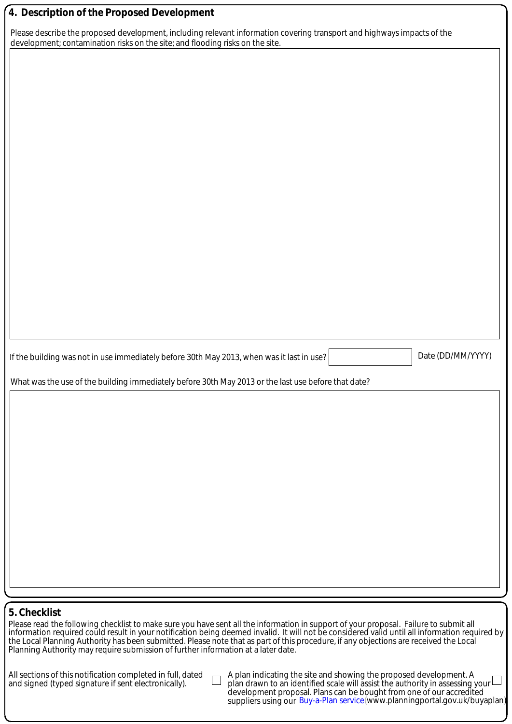#### **4. Description of the Proposed Development**

Please describe the proposed development, including relevant information covering transport and highways impacts of the development; contamination risks on the site; and flooding risks on the site.

If the building was not in use immediately before 30th May 2013, when was it last in use? Date (DD/MM/YYYY)

What was the use of the building immediately before 30th May 2013 or the last use before that date?

#### **5. Checklist**

Please read the following checklist to make sure you have sent all the information in support of your proposal. Failure to submit all information required could result in your notification being deemed invalid. It will not be considered valid until all information required by the Local Planning Authority has been submitted. Please note that as part of this procedure, if any objections are received the Local Planning Authority may require submission of further information at a later date.

All sections of this notification completed in full, dated and signed (typed signature if sent electronically).

A plan indicating the site and showing the proposed development. A plan drawn to an identified scale will assist the authority in assessing your development proposal. Plans can be bought from one of our accredited suppliers using our Buy-a-Plan service (www.planningportal.gov.uk/buyaplan)